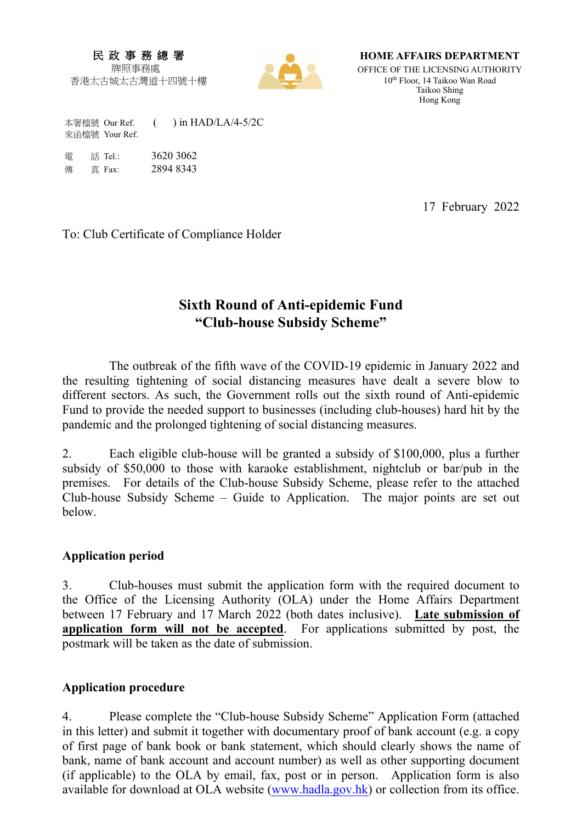### 民 政 事 務 總 署 牌照事務處

香港太古城太古灣道十四號十樓



**HOME AFFAIRS DEPARTMENT** OFFICE OF THE LICENSING AUTHORITY

10th Floor, 14 Taikoo Wan Road Taikoo Shing Hong Kong

本署檔號 Our Ref. ( ) in HAD/LA/4-5/2C 來函檔號 Your Ref.

| 雷 | 話 Tel.: | 3620 3062 |
|---|---------|-----------|
| 俥 | 直 Fax:  | 2894 8343 |

17 February 2022

To: Club Certificate of Compliance Holder

# **Sixth Round of Anti-epidemic Fund "Club-house Subsidy Scheme"**

The outbreak of the fifth wave of the COVID-19 epidemic in January 2022 and the resulting tightening of social distancing measures have dealt a severe blow to different sectors. As such, the Government rolls out the sixth round of Anti-epidemic Fund to provide the needed support to businesses (including club-houses) hard hit by the pandemic and the prolonged tightening of social distancing measures.

2. Each eligible club-house will be granted a subsidy of \$100,000, plus a further subsidy of \$50,000 to those with karaoke establishment, nightclub or bar/pub in the premises. For details of the Club-house Subsidy Scheme, please refer to the attached Club-house Subsidy Scheme – Guide to Application. The major points are set out below.

### **Application period**

3. Club-houses must submit the application form with the required document to the Office of the Licensing Authority (OLA) under the Home Affairs Department between 17 February and 17 March 2022 (both dates inclusive). **Late submission of application form will not be accepted**. For applications submitted by post, the postmark will be taken as the date of submission.

## **Application procedure**

4. Please complete the "Club-house Subsidy Scheme" Application Form (attached in this letter) and submit it together with documentary proof of bank account (e.g. a copy of first page of bank book or bank statement, which should clearly shows the name of bank, name of bank account and account number) as well as other supporting document (if applicable) to the OLA by email, fax, post or in person. Application form is also available for download at OLA website (www.hadla.gov.hk) or collection from its office.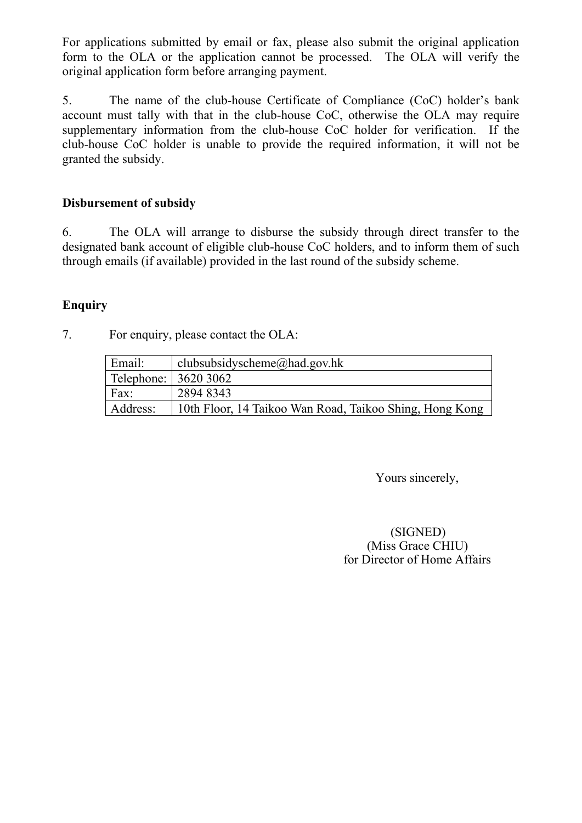For applications submitted by email or fax, please also submit the original application form to the OLA or the application cannot be processed. The OLA will verify the original application form before arranging payment.

5. The name of the club-house Certificate of Compliance (CoC) holder's bank account must tally with that in the club-house CoC, otherwise the OLA may require supplementary information from the club-house CoC holder for verification. If the club-house CoC holder is unable to provide the required information, it will not be granted the subsidy.

# **Disbursement of subsidy**

6. The OLA will arrange to disburse the subsidy through direct transfer to the designated bank account of eligible club-house CoC holders, and to inform them of such through emails (if available) provided in the last round of the subsidy scheme.

# **Enquiry**

7. For enquiry, please contact the OLA:

| Email:               | clubsubsidyscheme@had.gov.hk                            |
|----------------------|---------------------------------------------------------|
| Telephone: 3620 3062 |                                                         |
| Fax:                 | 2894 8343                                               |
| Address:             | 10th Floor, 14 Taikoo Wan Road, Taikoo Shing, Hong Kong |

Yours sincerely,

(SIGNED) (Miss Grace CHIU) for Director of Home Affairs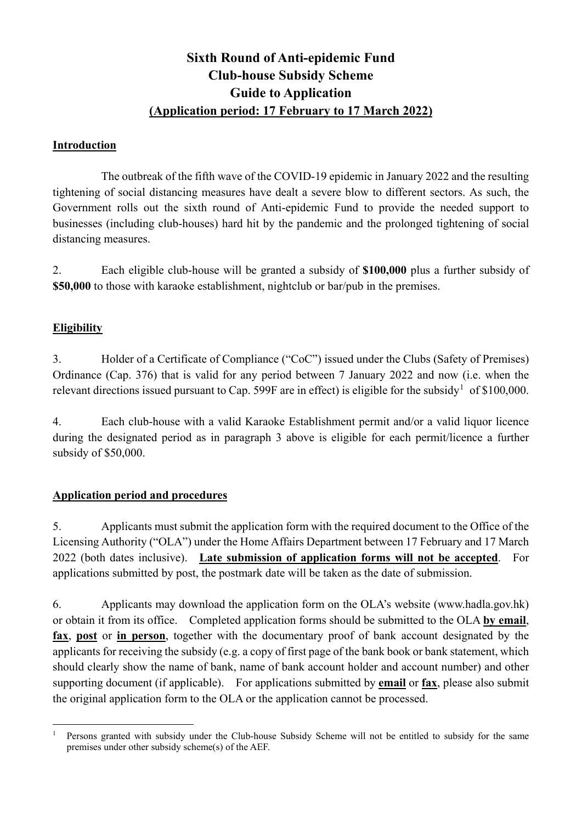# **Sixth Round of Anti-epidemic Fund Club-house Subsidy Scheme Guide to Application (Application period: 17 February to 17 March 2022)**

### **Introduction**

The outbreak of the fifth wave of the COVID-19 epidemic in January 2022 and the resulting tightening of social distancing measures have dealt a severe blow to different sectors. As such, the Government rolls out the sixth round of Anti-epidemic Fund to provide the needed support to businesses (including club-houses) hard hit by the pandemic and the prolonged tightening of social distancing measures.

2. Each eligible club-house will be granted a subsidy of **\$100,000** plus a further subsidy of **\$50,000** to those with karaoke establishment, nightclub or bar/pub in the premises.

## **Eligibility**

3. Holder of a Certificate of Compliance ("CoC") issued under the Clubs (Safety of Premises) Ordinance (Cap. 376) that is valid for any period between 7 January 2022 and now (i.e. when the relevant directions issued pursuant to Cap. 599F are in effect) is eligible for the subsidy<sup>[1](#page-2-0)</sup> of \$100,000.

4. Each club-house with a valid Karaoke Establishment permit and/or a valid liquor licence during the designated period as in paragraph 3 above is eligible for each permit/licence a further subsidy of \$50,000.

## **Application period and procedures**

5. Applicants must submit the application form with the required document to the Office of the Licensing Authority ("OLA") under the Home Affairs Department between 17 February and 17 March 2022 (both dates inclusive). **Late submission of application forms will not be accepted**. For applications submitted by post, the postmark date will be taken as the date of submission.

6. Applicants may download the application form on the OLA's website (www.hadla.gov.hk) or obtain it from its office. Completed application forms should be submitted to the OLA **by email**, **fax**, **post** or **in person**, together with the documentary proof of bank account designated by the applicants for receiving the subsidy (e.g. a copy of first page of the bank book or bank statement, which should clearly show the name of bank, name of bank account holder and account number) and other supporting document (if applicable). For applications submitted by **email** or **fax**, please also submit the original application form to the OLA or the application cannot be processed.

<span id="page-2-0"></span><sup>-</sup><sup>1</sup> Persons granted with subsidy under the Club-house Subsidy Scheme will not be entitled to subsidy for the same premises under other subsidy scheme(s) of the AEF.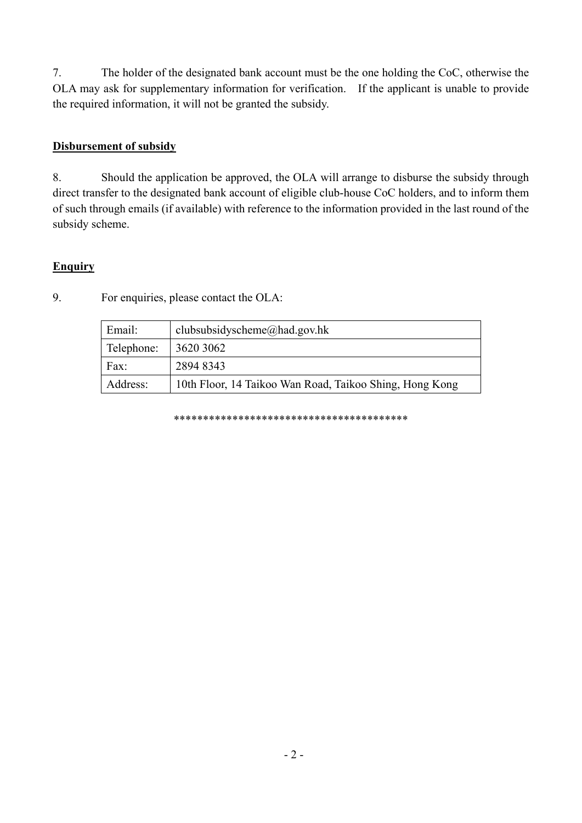7. The holder of the designated bank account must be the one holding the CoC, otherwise the OLA may ask for supplementary information for verification. If the applicant is unable to provide the required information, it will not be granted the subsidy.

### **Disbursement of subsidy**

8. Should the application be approved, the OLA will arrange to disburse the subsidy through direct transfer to the designated bank account of eligible club-house CoC holders, and to inform them of such through emails (if available) with reference to the information provided in the last round of the subsidy scheme.

### **Enquiry**

| Email:     | clubsubsidyscheme@had.gov.hk                            |
|------------|---------------------------------------------------------|
| Telephone: | 3620 3062                                               |
| Fax:       | 2894 8343                                               |
| Address:   | 10th Floor, 14 Taikoo Wan Road, Taikoo Shing, Hong Kong |

9. For enquiries, please contact the OLA:

\*\*\*\*\*\*\*\*\*\*\*\*\*\*\*\*\*\*\*\*\*\*\*\*\*\*\*\*\*\*\*\*\*\*\*\*\*\*\*\*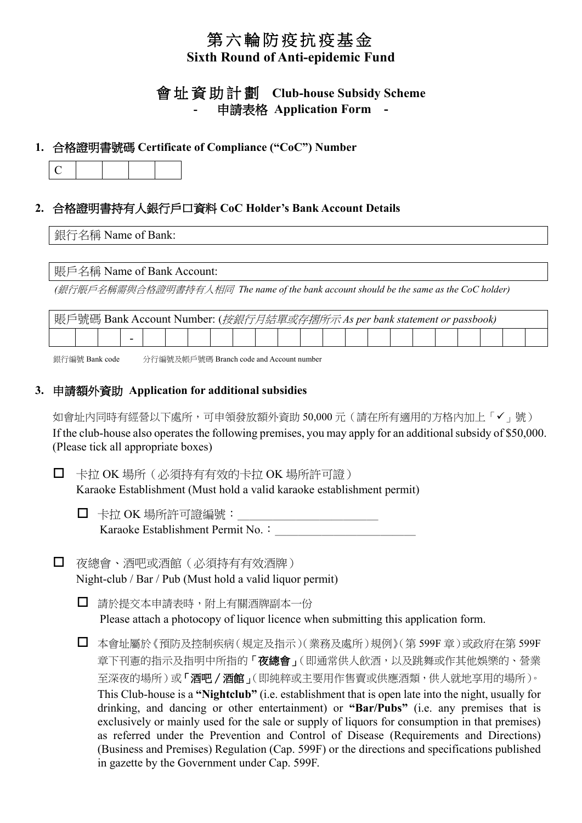# 第六輪防疫抗疫基金 **Sixth Round of Anti-epidemic Fund**

# 會 址 資助計劃 **Club-house Subsidy Scheme -** 申請表格 **Application Form -**

### **1.** 合格證明書號碼 **Certificate of Compliance ("CoC") Number**

|--|

## **2.** 合格證明書持有人銀行戶口資料 **CoC Holder's Bank Account Details**

#### 銀行名稱 Name of Bank:

#### 賬戶名稱 Name of Bank Account:

*(*銀行賬戶名稱需與合格證明書持有人相同 *The name of the bank account should be the same as the CoC holder)*

| 賬戶號碼 Bank Account Number: ( <i>按銀行月結單或存摺所示 As per bank statement or passbook</i> ) |  |  |  |  |  |  |  |  |  |  |  |  |  |  |  |  |  |  |  |  |  |
|------------------------------------------------------------------------------------|--|--|--|--|--|--|--|--|--|--|--|--|--|--|--|--|--|--|--|--|--|
|                                                                                    |  |  |  |  |  |  |  |  |  |  |  |  |  |  |  |  |  |  |  |  |  |

銀行編號 Bank code 分行編號及帳戶號碼 Branch code and Account number

## **3.** 申請額外資助 **Application for additional subsidies**

如會址內同時有經營以下處所,可申領發放額外資助 50,000 元 (請在所有適用的方格內加上「✔」號) If the club-house also operates the following premises, you may apply for an additional subsidy of \$50,000. (Please tick all appropriate boxes)

□ 卡拉 OK 場所 (必須持有有效的卡拉 OK 場所許可證) Karaoke Establishment (Must hold a valid karaoke establishment permit)

- $\Box$  卡拉 OK 場所許可證編號: Karaoke Establishment Permit No.:
- 夜總會、酒吧或酒館(必須持有有效酒牌) Night-club / Bar / Pub (Must hold a valid liquor permit)

□ 請於提交本申請表時,附上有關酒牌副本一份 Please attach a photocopy of liquor licence when submitting this application form.

□ 本會址屬於《預防及控制疾病(規定及指示)(業務及處所)規例》(第 599F 章)或政府在第 599F 章下刊憲的指示及指明中所指的「夜總會」(即通常供人飲酒,以及跳舞或作其他娛樂的、營業 至深夜的場所)或「酒吧/酒館」(即純粹或主要用作售賣或供應酒類,供人就地享用的場所)。 This Club-house is a **"Nightclub"** (i.e. establishment that is open late into the night, usually for drinking, and dancing or other entertainment) or **"Bar/Pubs"** (i.e. any premises that is exclusively or mainly used for the sale or supply of liquors for consumption in that premises) as referred under the Prevention and Control of Disease (Requirements and Directions) (Business and Premises) Regulation (Cap. 599F) or the directions and specifications published in gazette by the Government under Cap. 599F.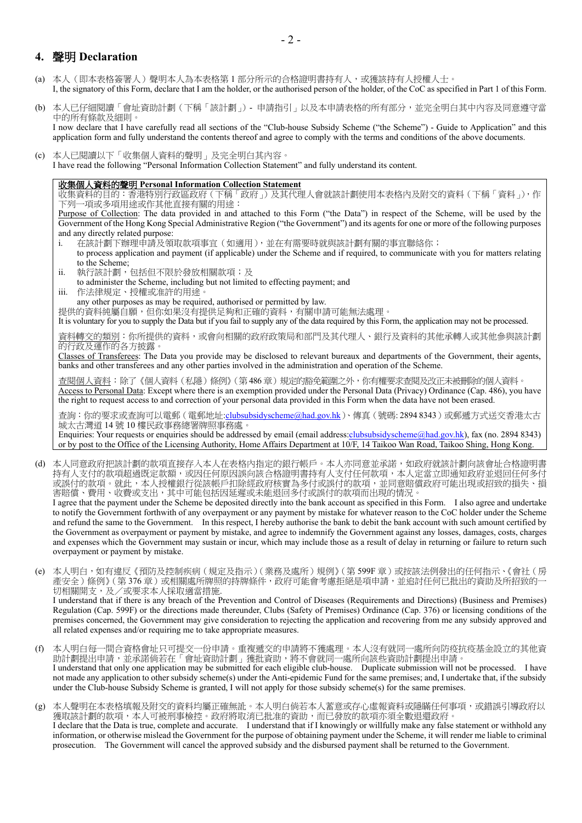### **4.** 聲明 **Declaration**

- (a) 本人(即本表格簽署人)聲明本人為本表格第 1 部分所示的合格證明書持有人,或獲該持有人授權人士。 I, the signatory of this Form, declare that I am the holder, or the authorised person of the holder, of the CoC as specified in Part 1 of this Form.
- (b) 本人已仔細閱讀「會址資助計劃(下稱「該計劃」)- 申請指引」以及本申請表格的所有部分,並完全明白其中內容及同意遵守當 中的所有條款及細則。 I now declare that I have carefully read all sections of the "Club-house Subsidy Scheme ("the Scheme") - Guide to Application" and this application form and fully understand the contents thereof and agree to comply with the terms and conditions of the above documents.
- (c) 本人已閱讀以下「收集個人資料的聲明」及完全明白其內容。 I have read the following "Personal Information Collection Statement" and fully understand its content.

#### 收集個人資料的聲明 **Personal Information Collection Statement**

收集資料的目的:香港特別行政區政府(下稱「政府」)及其代理人會就該計劃使用本表格內及附交的資料(下稱「資料」),作 下列一項或多項用途或作其他直接有關的用途:

Purpose of Collection: The data provided in and attached to this Form ("the Data") in respect of the Scheme, will be used by the Government of the Hong Kong Special Administrative Region ("the Government") and its agents for one or more of the following purposes and any directly related purpose:

- i. 在該計劃下辦理申請及領取款項事宜(如適用),並在有需要時就與該計劃有關的事宜聯絡你; to process application and payment (if applicable) under the Scheme and if required, to communicate with you for matters relating to the Scheme;
- ii. 執行該計劃,包括但不限於發放相關款項;及
- to administer the Scheme, including but not limited to effecting payment; and
- iii. 作法律規定、授權或准許的用途。

any other purposes as may be required, authorised or permitted by law.

提供的資料純屬自願,但你如果沒有提供足夠和正確的資料,有關申請可能無法處理。

It is voluntary for you to supply the Data but if you fail to supply any of the data required by this Form, the application may not be processed.

資料轉交的類別:你所提供的資料,或會向相關的政府政策局和部門及其代理人、銀行及資料的其他承轉人或其他參與該計劃 的行政及運作的各方披露。

Classes of Transferees: The Data you provide may be disclosed to relevant bureaux and departments of the Government, their agents, banks and other transferees and any other parties involved in the administration and operation of the Scheme.

查閱個人資料:除了《個人資料(私隱)條例》(第 486 章)規定的豁免範圍之外,你有權要求查閱及改正未被刪除的個人資料。 Access to Personal Data: Except where there is an exemption provided under the Personal Data (Privacy) Ordinance (Cap. 486), you have the right to request access to and correction of your personal data provided in this Form when the data have not been erased.

查詢: 你的要求或查詢可以電郵(電郵地址:clubsubsidyscheme@had.gov.hk)、傳真(號碼: 2894 8343)或郵遞方式送交香港太古 城太古灣道 14 號 10 樓民政事務總署牌照事務處。

Enquiries: Your requests or enquiries should be addressed by email (email address:clubsubsidyscheme@had.gov.hk), fax (no. 2894 8343) or by post to the Office of the Licensing Authority, Home Affairs Department at 10/F, 14 Taikoo Wan Road, Taikoo Shing, Hong Kong.

(d) 本人同意政府把該計劃的款項直接存入本人在表格內指定的銀行帳戶。本人亦同意並承諾,如政府就該計劃向該會址合格證明書 持有人支付的款項超過既定款額,或因任何原因誤向該合格證明書持有人支付任何款項,本人定當立即通知政府並退回任何多付 或誤付的款項。就此,本人授權銀行從該帳戶扣除經政府核實為多付或誤付的款項,並同意賠償政府可能出現或招致的損失、損 害賠償、費用、收費或支出,其中可能包括因延遲或未能退回多付或誤付的款項而出現的情況。

I agree that the payment under the Scheme be deposited directly into the bank account as specified in this Form. I also agree and undertake to notify the Government forthwith of any overpayment or any payment by mistake for whatever reason to the CoC holder under the Scheme and refund the same to the Government. In this respect, I hereby authorise the bank to debit the bank account with such amount certified by the Government as overpayment or payment by mistake, and agree to indemnify the Government against any losses, damages, costs, charges and expenses which the Government may sustain or incur, which may include those as a result of delay in returning or failure to return such overpayment or payment by mistake.

(e) 本人明白,如有違反《預防及控制疾病(規定及指示)(業務及處所)規例》(第599F 章)或按該法例發出的任何指示、《會社(房 產安全)條例》(第376章)或相關處所牌照的持牌條件,政府可能會考慮拒絕是項申請,並追討任何已批出的資助及所招致的-切相關開支,及/或要求本人採取適當措施.

I understand that if there is any breach of the Prevention and Control of Diseases (Requirements and Directions) (Business and Premises) Regulation (Cap. 599F) or the directions made thereunder, Clubs (Safety of Premises) Ordinance (Cap. 376) or licensing conditions of the premises concerned, the Government may give consideration to rejecting the application and recovering from me any subsidy approved and all related expenses and/or requiring me to take appropriate measures.

(f) 本人明白每一間合資格會址只可提交一份申請。重複遞交的申請將不獲處理。本人沒有就同一處所向防疫抗疫基金設立的其他資 助計劃提出申請,並承諾倘若在「會址資助計劃」獲批資助,將不會就同一處所向該些資助計劃提出申請。 I understand that only one application may be submitted for each eligible club-house. Duplicate submission will not be processed. I have

not made any application to other subsidy scheme(s) under the Anti-epidemic Fund for the same premises; and, I undertake that, if the subsidy under the Club-house Subsidy Scheme is granted, I will not apply for those subsidy scheme(s) for the same premises.

(g) 本人聲明在本表格填報及附交的資料均屬正確無訛。本人明白倘若本人蓄意或存心虛報資料或隱瞞任何事項,或錯誤引導政府以 獲取該計劃的款項,本人可被刑事檢控。政府將取消已批准的資助,而已發放的款項亦須全數退還政府。 I declare that the Data is true, complete and accurate. I understand that if I knowingly or willfully make any false statement or withhold any

information, or otherwise mislead the Government for the purpose of obtaining payment under the Scheme, it will render me liable to criminal prosecution. The Government will cancel the approved subsidy and the disbursed payment shall be returned to the Government.